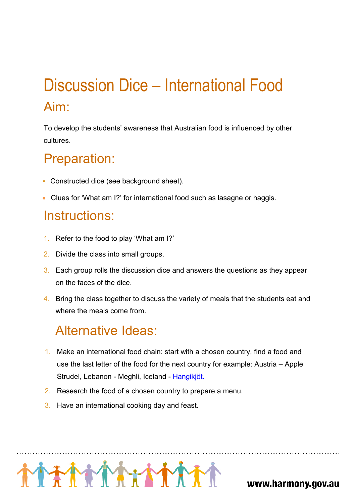# Discussion Dice – International Food Aim:

To develop the students' awareness that Australian food is influenced by other cultures.

#### Preparation:

- Constructed dice (see background sheet).
- Clues for 'What am I?' for international food such as lasagne or haggis.

#### Instructions:

- 1. Refer to the food to play 'What am I?'
- 2. Divide the class into small groups.
- 3. Each group rolls the discussion dice and answers the questions as they appear on the faces of the dice.
- 4. Bring the class together to discuss the variety of meals that the students eat and where the meals come from.

### Alternative Ideas:

- 1. Make an international food chain: start with a chosen country, find a food and use the last letter of the food for the next country for example: Austria – Apple Strudel, Lebanon - Meghli, Iceland - Hangikjöt.
- 2. Research the food of a chosen country to prepare a menu.
- 3. Have an international cooking day and feast.



www.harmony.gov.au